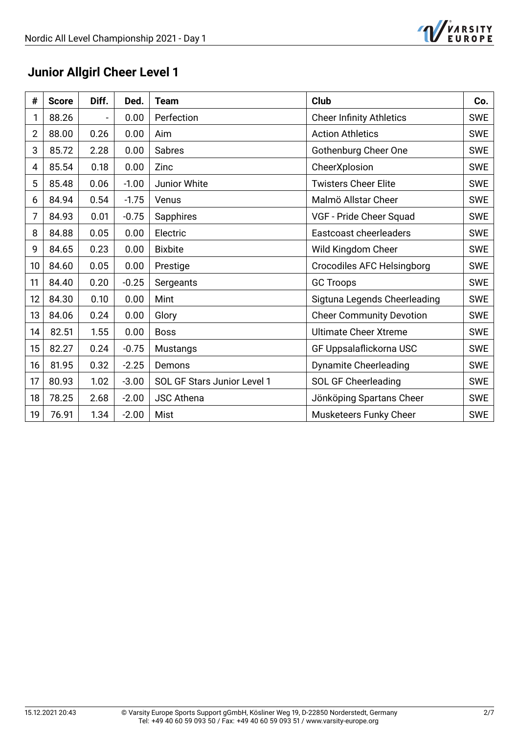

# **Junior Allgirl Cheer Level 1**

| #  | <b>Score</b> | Diff.                    | Ded.    | <b>Team</b>                 | <b>Club</b>                     | Co.        |
|----|--------------|--------------------------|---------|-----------------------------|---------------------------------|------------|
| 1  | 88.26        | $\overline{\phantom{a}}$ | 0.00    | Perfection                  | <b>Cheer Infinity Athletics</b> | <b>SWE</b> |
| 2  | 88.00        | 0.26                     | 0.00    | Aim                         | <b>Action Athletics</b>         | <b>SWE</b> |
| 3  | 85.72        | 2.28                     | 0.00    | Sabres                      | <b>Gothenburg Cheer One</b>     | <b>SWE</b> |
| 4  | 85.54        | 0.18                     | 0.00    | Zinc                        | CheerXplosion                   | <b>SWE</b> |
| 5  | 85.48        | 0.06                     | $-1.00$ | Junior White                | <b>Twisters Cheer Elite</b>     | <b>SWE</b> |
| 6  | 84.94        | 0.54                     | $-1.75$ | Venus                       | Malmö Allstar Cheer             | <b>SWE</b> |
| 7  | 84.93        | 0.01                     | $-0.75$ | Sapphires                   | VGF - Pride Cheer Squad         | <b>SWE</b> |
| 8  | 84.88        | 0.05                     | 0.00    | Electric                    | Eastcoast cheerleaders          | <b>SWE</b> |
| 9  | 84.65        | 0.23                     | 0.00    | <b>Bixbite</b>              | Wild Kingdom Cheer              | <b>SWE</b> |
| 10 | 84.60        | 0.05                     | 0.00    | Prestige                    | Crocodiles AFC Helsingborg      | <b>SWE</b> |
| 11 | 84.40        | 0.20                     | $-0.25$ | Sergeants                   | <b>GC Troops</b>                | <b>SWE</b> |
| 12 | 84.30        | 0.10                     | 0.00    | Mint                        | Sigtuna Legends Cheerleading    | <b>SWE</b> |
| 13 | 84.06        | 0.24                     | 0.00    | Glory                       | <b>Cheer Community Devotion</b> | <b>SWE</b> |
| 14 | 82.51        | 1.55                     | 0.00    | <b>Boss</b>                 | <b>Ultimate Cheer Xtreme</b>    | <b>SWE</b> |
| 15 | 82.27        | 0.24                     | $-0.75$ | <b>Mustangs</b>             | GF Uppsalaflickorna USC         | <b>SWE</b> |
| 16 | 81.95        | 0.32                     | $-2.25$ | Demons                      | <b>Dynamite Cheerleading</b>    | <b>SWE</b> |
| 17 | 80.93        | 1.02                     | $-3.00$ | SOL GF Stars Junior Level 1 | SOL GF Cheerleading             | <b>SWE</b> |
| 18 | 78.25        | 2.68                     | $-2.00$ | <b>JSC Athena</b>           | Jönköping Spartans Cheer        | <b>SWE</b> |
| 19 | 76.91        | 1.34                     | $-2.00$ | Mist                        | Musketeers Funky Cheer          | <b>SWE</b> |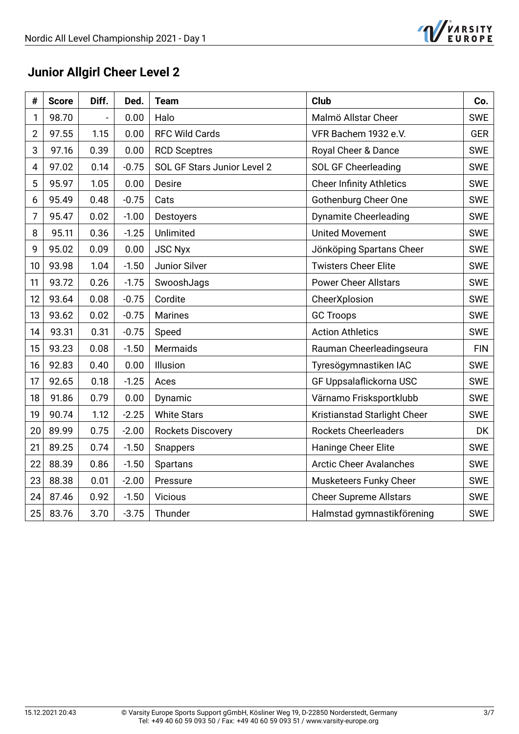

# **Junior Allgirl Cheer Level 2**

| #              | <b>Score</b> | Diff. | Ded.    | <b>Team</b>                 | <b>Club</b>                     | Co.        |
|----------------|--------------|-------|---------|-----------------------------|---------------------------------|------------|
| 1              | 98.70        |       | 0.00    | Halo                        | Malmö Allstar Cheer             | <b>SWE</b> |
| $\overline{2}$ | 97.55        | 1.15  | 0.00    | <b>RFC Wild Cards</b>       | VFR Bachem 1932 e.V.            | <b>GER</b> |
| 3              | 97.16        | 0.39  | 0.00    | <b>RCD Sceptres</b>         | Royal Cheer & Dance             | <b>SWE</b> |
| 4              | 97.02        | 0.14  | $-0.75$ | SOL GF Stars Junior Level 2 | <b>SOL GF Cheerleading</b>      | <b>SWE</b> |
| 5              | 95.97        | 1.05  | 0.00    | <b>Desire</b>               | <b>Cheer Infinity Athletics</b> | <b>SWE</b> |
| 6              | 95.49        | 0.48  | $-0.75$ | Cats                        | Gothenburg Cheer One            | <b>SWE</b> |
| 7              | 95.47        | 0.02  | $-1.00$ | Destoyers                   | <b>Dynamite Cheerleading</b>    | <b>SWE</b> |
| 8              | 95.11        | 0.36  | $-1.25$ | Unlimited                   | <b>United Movement</b>          | <b>SWE</b> |
| 9              | 95.02        | 0.09  | 0.00    | <b>JSC Nyx</b>              | Jönköping Spartans Cheer        | <b>SWE</b> |
| 10             | 93.98        | 1.04  | $-1.50$ | Junior Silver               | <b>Twisters Cheer Elite</b>     | <b>SWE</b> |
| 11             | 93.72        | 0.26  | $-1.75$ | SwooshJags                  | <b>Power Cheer Allstars</b>     | <b>SWE</b> |
| 12             | 93.64        | 0.08  | $-0.75$ | Cordite                     | CheerXplosion                   | <b>SWE</b> |
| 13             | 93.62        | 0.02  | $-0.75$ | <b>Marines</b>              | <b>GC Troops</b>                | <b>SWE</b> |
| 14             | 93.31        | 0.31  | $-0.75$ | Speed                       | <b>Action Athletics</b>         | <b>SWE</b> |
| 15             | 93.23        | 0.08  | $-1.50$ | Mermaids                    | Rauman Cheerleadingseura        | <b>FIN</b> |
| 16             | 92.83        | 0.40  | 0.00    | Illusion                    | Tyresögymnastiken IAC           | <b>SWE</b> |
| 17             | 92.65        | 0.18  | $-1.25$ | Aces                        | GF Uppsalaflickorna USC         | <b>SWE</b> |
| 18             | 91.86        | 0.79  | 0.00    | Dynamic                     | Värnamo Frisksportklubb         | <b>SWE</b> |
| 19             | 90.74        | 1.12  | $-2.25$ | <b>White Stars</b>          | Kristianstad Starlight Cheer    | <b>SWE</b> |
| 20             | 89.99        | 0.75  | $-2.00$ | <b>Rockets Discovery</b>    | <b>Rockets Cheerleaders</b>     | DK         |
| 21             | 89.25        | 0.74  | $-1.50$ | Snappers                    | Haninge Cheer Elite             | <b>SWE</b> |
| 22             | 88.39        | 0.86  | $-1.50$ | Spartans                    | <b>Arctic Cheer Avalanches</b>  | <b>SWE</b> |
| 23             | 88.38        | 0.01  | $-2.00$ | Pressure                    | Musketeers Funky Cheer          | <b>SWE</b> |
| 24             | 87.46        | 0.92  | $-1.50$ | <b>Vicious</b>              | <b>Cheer Supreme Allstars</b>   | <b>SWE</b> |
| 25             | 83.76        | 3.70  | $-3.75$ | Thunder                     | Halmstad gymnastikförening      | SWE        |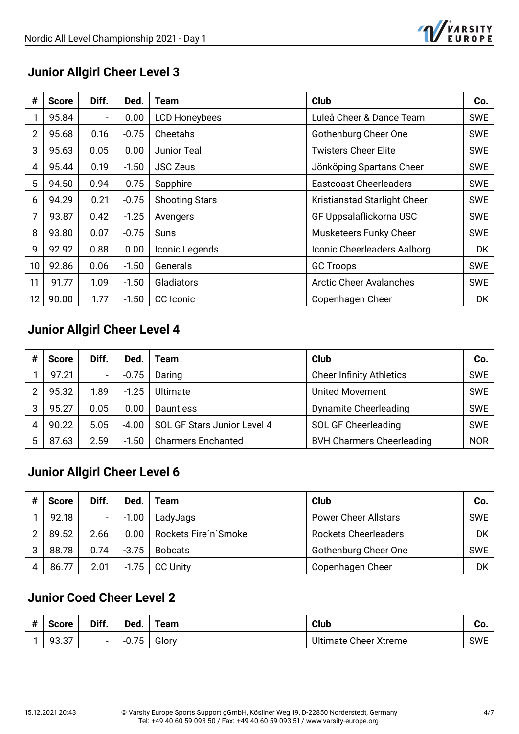

### **Junior Allgirl Cheer Level 3**

| #               | <b>Score</b> | Diff.          | Ded.    | Team                  | Club                           | Co.        |
|-----------------|--------------|----------------|---------|-----------------------|--------------------------------|------------|
|                 | 95.84        | $\blacksquare$ | 0.00    | <b>LCD Honeybees</b>  | Luleå Cheer & Dance Team       | <b>SWE</b> |
| $\overline{2}$  | 95.68        | 0.16           | $-0.75$ | Cheetahs              | Gothenburg Cheer One           | <b>SWE</b> |
| 3               | 95.63        | 0.05           | 0.00    | Junior Teal           | <b>Twisters Cheer Elite</b>    | <b>SWE</b> |
| 4               | 95.44        | 0.19           | $-1.50$ | <b>JSC Zeus</b>       | Jönköping Spartans Cheer       | <b>SWE</b> |
| 5               | 94.50        | 0.94           | $-0.75$ | Sapphire              | <b>Eastcoast Cheerleaders</b>  | <b>SWE</b> |
| 6               | 94.29        | 0.21           | $-0.75$ | <b>Shooting Stars</b> | Kristianstad Starlight Cheer   | <b>SWE</b> |
| 7               | 93.87        | 0.42           | $-1.25$ | Avengers              | GF Uppsalaflickorna USC        | <b>SWE</b> |
| 8               | 93.80        | 0.07           | $-0.75$ | Suns                  | Musketeers Funky Cheer         | <b>SWE</b> |
| 9               | 92.92        | 0.88           | 0.00    | Iconic Legends        | Iconic Cheerleaders Aalborg    | <b>DK</b>  |
| 10              | 92.86        | 0.06           | $-1.50$ | Generals              | <b>GC Troops</b>               | <b>SWE</b> |
| 11              | 91.77        | 1.09           | $-1.50$ | Gladiators            | <b>Arctic Cheer Avalanches</b> | <b>SWE</b> |
| 12 <sup>2</sup> | 90.00        | 1.77           | $-1.50$ | CC Iconic             | Copenhagen Cheer               | DK         |

### **Junior Allgirl Cheer Level 4**

| # | <b>Score</b> | Diff.                    | Ded.    | Team                        | Club                             | Co.        |
|---|--------------|--------------------------|---------|-----------------------------|----------------------------------|------------|
|   | 97.21        | $\overline{\phantom{0}}$ | $-0.75$ | Daring                      | <b>Cheer Infinity Athletics</b>  | <b>SWE</b> |
| າ | 95.32        | 1.89                     | $-1.25$ | Ultimate                    | <b>United Movement</b>           | <b>SWE</b> |
| 3 | 95.27        | 0.05                     | 0.00    | Dauntless                   | <b>Dynamite Cheerleading</b>     | <b>SWE</b> |
|   | 90.22        | 5.05                     | $-4.00$ | SOL GF Stars Junior Level 4 | <b>SOL GF Cheerleading</b>       | <b>SWE</b> |
| 5 | 87.63        | 2.59                     | $-1.50$ | <b>Charmers Enchanted</b>   | <b>BVH Charmers Cheerleading</b> | <b>NOR</b> |

#### **Junior Allgirl Cheer Level 6**

| # | <b>Score</b> | Diff. | Ded.    | Team                 | Club                        | Co.        |
|---|--------------|-------|---------|----------------------|-----------------------------|------------|
|   | 92.18        |       | $-1.00$ | LadyJags             | <b>Power Cheer Allstars</b> | <b>SWE</b> |
| ົ | 89.52        | 2.66  | 0.00    | Rockets Fire'n'Smoke | <b>Rockets Cheerleaders</b> | DK         |
| 3 | 88.78        | 0.74  | $-3.75$ | <b>Bobcats</b>       | Gothenburg Cheer One        | <b>SWE</b> |
|   | 86.77        | 2.01  | $-1.75$ | <b>CC Unity</b>      | Copenhagen Cheer            | DK         |

#### **Junior Coed Cheer Level 2**

| #<br>π | <b>Score</b>    | Diff.  | Ded.             | eam   | <b>Club</b>                  | υυ.        |
|--------|-----------------|--------|------------------|-------|------------------------------|------------|
|        | $\sim$<br>93.37 | $\sim$ | $-$<br>ັ<br>υ. Λ | Glory | <b>Ultimate Cheer Xtreme</b> | <b>SWE</b> |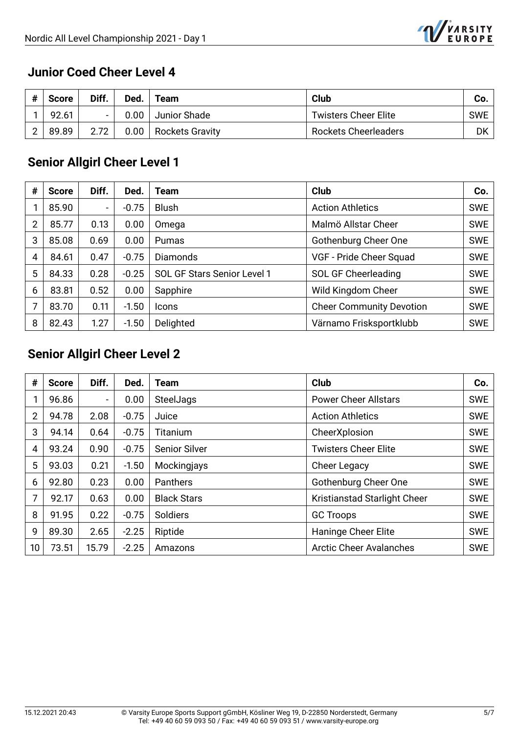

#### **Junior Coed Cheer Level 4**

| # | <b>Score</b> | Diff. | Ded.   | Team                   | Club                        | Co. |
|---|--------------|-------|--------|------------------------|-----------------------------|-----|
|   | 92.61        |       | $0.00$ | Junior Shade           | <b>Twisters Cheer Elite</b> | SWE |
| ⌒ | 89.89        |       | 0.00   | <b>Rockets Gravity</b> | <b>Rockets Cheerleaders</b> | DK  |

## **Senior Allgirl Cheer Level 1**

| #              | Score | Diff.                    | Ded.    | Team                        | Club                            | Co.        |
|----------------|-------|--------------------------|---------|-----------------------------|---------------------------------|------------|
|                | 85.90 | $\overline{\phantom{0}}$ | $-0.75$ | <b>Blush</b>                | <b>Action Athletics</b>         | <b>SWE</b> |
| $\overline{2}$ | 85.77 | 0.13                     | 0.00    | Omega                       | Malmö Allstar Cheer             | <b>SWE</b> |
| 3              | 85.08 | 0.69                     | 0.00    | Pumas                       | Gothenburg Cheer One            | <b>SWE</b> |
| $\overline{4}$ | 84.61 | 0.47                     | $-0.75$ | <b>Diamonds</b>             | VGF - Pride Cheer Squad         | <b>SWE</b> |
| 5              | 84.33 | 0.28                     | $-0.25$ | SOL GF Stars Senior Level 1 | SOL GF Cheerleading             | <b>SWE</b> |
| 6              | 83.81 | 0.52                     | 0.00    | Sapphire                    | Wild Kingdom Cheer              | <b>SWE</b> |
| 7              | 83.70 | 0.11                     | $-1.50$ | <b>Icons</b>                | <b>Cheer Community Devotion</b> | <b>SWE</b> |
| 8              | 82.43 | 1.27                     | $-1.50$ | Delighted                   | Värnamo Frisksportklubb         | <b>SWE</b> |

# **Senior Allgirl Cheer Level 2**

| #               | <b>Score</b> | Diff.          | Ded.    | <b>Team</b>          | <b>Club</b>                    | Co.        |
|-----------------|--------------|----------------|---------|----------------------|--------------------------------|------------|
|                 | 96.86        | $\blacksquare$ | 0.00    | SteelJags            | <b>Power Cheer Allstars</b>    | <b>SWE</b> |
| 2               | 94.78        | 2.08           | $-0.75$ | Juice                | <b>Action Athletics</b>        | <b>SWE</b> |
| 3               | 94.14        | 0.64           | $-0.75$ | Titanium             | CheerXplosion                  | <b>SWE</b> |
| 4               | 93.24        | 0.90           | $-0.75$ | <b>Senior Silver</b> | <b>Twisters Cheer Elite</b>    | <b>SWE</b> |
| 5               | 93.03        | 0.21           | $-1.50$ | Mockingjays          | Cheer Legacy                   | <b>SWE</b> |
| 6               | 92.80        | 0.23           | 0.00    | Panthers             | Gothenburg Cheer One           | <b>SWE</b> |
| 7               | 92.17        | 0.63           | 0.00    | <b>Black Stars</b>   | Kristianstad Starlight Cheer   | <b>SWE</b> |
| 8               | 91.95        | 0.22           | $-0.75$ | Soldiers             | <b>GC Troops</b>               | <b>SWE</b> |
| 9               | 89.30        | 2.65           | $-2.25$ | Riptide              | Haninge Cheer Elite            | <b>SWE</b> |
| 10 <sup>°</sup> | 73.51        | 15.79          | $-2.25$ | Amazons              | <b>Arctic Cheer Avalanches</b> | <b>SWE</b> |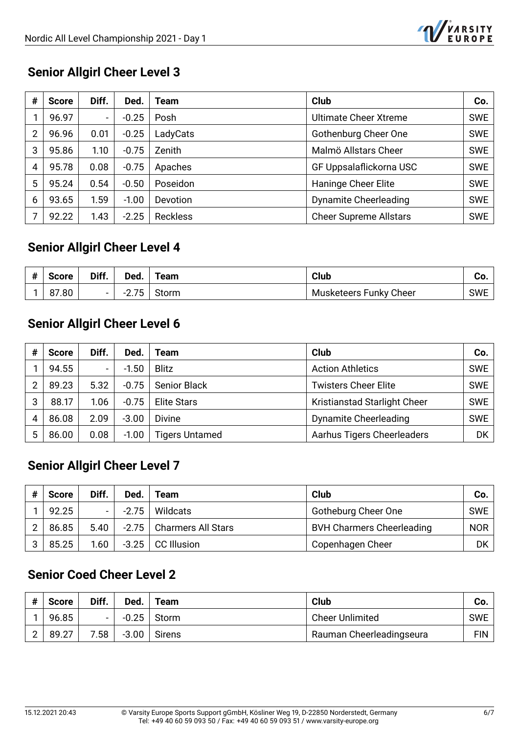

#### **Senior Allgirl Cheer Level 3**

| # | <b>Score</b> | Diff. | Ded.    | Team            | <b>Club</b>                   | Co.        |
|---|--------------|-------|---------|-----------------|-------------------------------|------------|
|   | 96.97        | -     | $-0.25$ | Posh            | <b>Ultimate Cheer Xtreme</b>  | <b>SWE</b> |
| 2 | 96.96        | 0.01  | $-0.25$ | LadyCats        | Gothenburg Cheer One          | <b>SWE</b> |
| 3 | 95.86        | 1.10  | $-0.75$ | Zenith          | Malmö Allstars Cheer          | <b>SWE</b> |
| 4 | 95.78        | 0.08  | $-0.75$ | Apaches         | GF Uppsalaflickorna USC       | <b>SWE</b> |
| 5 | 95.24        | 0.54  | $-0.50$ | Poseidon        | Haninge Cheer Elite           | SWE        |
| 6 | 93.65        | 1.59  | $-1.00$ | Devotion        | <b>Dynamite Cheerleading</b>  | <b>SWE</b> |
|   | 92.22        | 1.43  | $-2.25$ | <b>Reckless</b> | <b>Cheer Supreme Allstars</b> | SWE        |

## Senior Allgirl Cheer Level 4

| <b>Score</b> | Diff.                    | Ded.                                   | Team  | Club                   | vv.        |
|--------------|--------------------------|----------------------------------------|-------|------------------------|------------|
| 87.80        | $\overline{\phantom{0}}$ | 7 <sub>E</sub><br>- -<br>ັບ<br><u></u> | Storm | Musketeers Funky Cheer | <b>SWE</b> |

## **Senior Allgirl Cheer Level 6**

| # | <b>Score</b> | Diff.                    | Ded.    | Team                  | <b>Club</b>                  | Co.        |
|---|--------------|--------------------------|---------|-----------------------|------------------------------|------------|
|   | 94.55        | $\overline{\phantom{0}}$ | $-1.50$ | <b>Blitz</b>          | <b>Action Athletics</b>      | <b>SWE</b> |
| 2 | 89.23        | 5.32                     | $-0.75$ | <b>Senior Black</b>   | <b>Twisters Cheer Elite</b>  | <b>SWE</b> |
| 3 | 88.17        | 1.06                     | $-0.75$ | <b>Elite Stars</b>    | Kristianstad Starlight Cheer | <b>SWE</b> |
| 4 | 86.08        | 2.09                     | $-3.00$ | <b>Divine</b>         | <b>Dynamite Cheerleading</b> | <b>SWE</b> |
| 5 | 86.00        | 0.08                     | $-1.00$ | <b>Tigers Untamed</b> | Aarhus Tigers Cheerleaders   | DK         |

## **Senior Allgirl Cheer Level 7**

| # | <b>Score</b> | Diff.  | Ded.    | Team                       | <b>Club</b>                      | Co. |
|---|--------------|--------|---------|----------------------------|----------------------------------|-----|
|   | 92.25        | $\sim$ | $-2.75$ | Wildcats                   | Gotheburg Cheer One              | SWE |
| ⌒ | 86.85        | 5.40   |         | -2.75   Charmers All Stars | <b>BVH Charmers Cheerleading</b> | NOR |
| 3 | 85.25        | 1.60   | $-3.25$ | <b>CC Illusion</b>         | Copenhagen Cheer                 | DK  |

### **Senior Coed Cheer Level 2**

| # | <b>Score</b> | Diff. | Ded.    | Team   | Club                     | Co.        |
|---|--------------|-------|---------|--------|--------------------------|------------|
|   | 96.85        |       | $-0.25$ | Storm  | <b>Cheer Unlimited</b>   | <b>SWE</b> |
|   | 89.27        | 7.58  | $-3.00$ | Sirens | Rauman Cheerleadingseura | FIN I      |